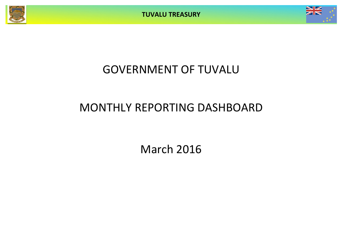**TUVALU TREASURY**



## GOVERNMENT OF TUVALU

# MONTHLY REPORTING DASHBOARD

March 2016

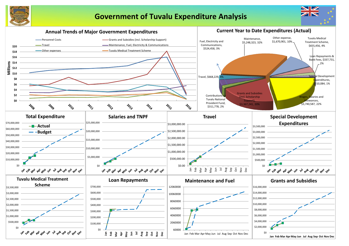

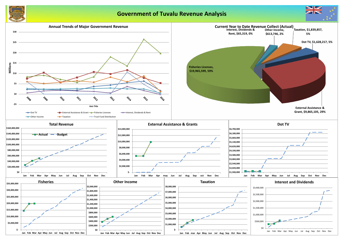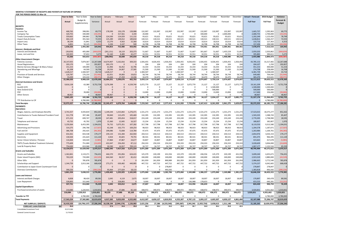### **MONTHLY STATEMENT OF RECEIPTS AND PAYENTS BY NATURE OF EXPENSE FOR THE PERIOD ENDED 31-Mar-16**

**Year to Date** Year to Date Year to Date January February March April May June July August September October November December **Actual + Forecast 2016 Budget Variance Actual** Budget &<br>Supplementary Supplementary Variance Actual Actual Actual Forecast Forecast Forecast Forecast Forecast Forecast Forecast Forecast Forecast **Full Year Full Year RECEIPTS** *Taxation* Income Tax 468,765 398,991 69,775 178,599 150,178 139,988 132,997 132,997 132,997 132,997 132,997 132,997 132,997 132,997 132,997 1,665,737 1,595,963 69,775 Company Tax 320,755 340,000 (19,245) 0 317,561 3,194 20,000 0 0 0 0 340,000 0 2,000,000 0 2,680,755 2,700,000 (19,245) Tuvalu Consumption Taxes 359,662 280,862 78,799 124,500 124,029 111,132 93,621 93,621 93,621 93,621 93,621 93,621 93,621 93,621 93,621 1,202,249 1,123,450 78,799 Import Duty & Excise 464,119 391,564 72,555 125,289 149,012 189,818 130,521 130,521 130,521 130,521 130,521 130,521 130,521 130,521 130,521 1,638,812 1,566,257 72,555 Import Levy 38,194 31,841 6,353 13,270 9,563 15,360 10,614 10,614 10,614 10,614 10,614 10,614 10,614 10,614 10,614 133,716 127,363 6,353 Other Taxes 50,125 (43,294) 3,194 3,137 500 16,708 16,708 16,708 16,708 16,708 16,708 16,708 16,708 157,206 157,206 200,500 (43,294) 1,658,326 1,493,383 164,942| 444,853 753,480 459,992 404,461 384,461 384,461 384,461 724,461 384,461 2,384,461 384,461 384,461 7,478,475 7,313,533 164,942 *Interest, Dividends and Rent* Interest and Dividends (39,659) 405,000 (444,659) (261,151) 18,119 203,373 51,667 51,667 51,667 51,667 51,667 301,667 51,667 1,435,529 51,667 2,059,203 2,503,862 (444,659) Lease, rent and hire 102,925 97,653 5,273 52,160 8,489 42,277 32,551 32,551 32,551 32,551 32,551 32,551 32,551 32,551 32,551 395,883 390,611 5,273 63,266 502,653 (439,387)| (208,992) 26,608 245,650 84,218 84,218 84,218 84,218 84,218 84,218 1,468,080 84,218| 2,455,086 2,894,473 (439,387) *Other Government Charges* Fisheries Licenses 20,147,055 7,879,367 12,267,688 14,674,907 5,162,816 309,333 1,926,455 4,026,455 1,926,455 1,926,455 4,026,455 1,926,455 4,026,455 1,926,455 1,926,455 43,785,153 31,517,465 12,267,688 Vessel Registrations 203,170 313 202,857 203,170 0 104 104 104 104 104 104 104 204,107 1,250 202,857 Marine Services (Nivaga II & Manu Folau) | 151,153 100,000 51,153 61,906 56,452 32,796 33,333 33,333 33,333 33,333 Stevedoring and Wharfage 2012 10:208 16,708 16,708 20,556 24,067 27,585 21,500 21,500 21,500 21,500 21,500 21,500 21,500 21,500 21,500 21,500 21,500 21,500 21,500 21,500 21,500 21,500 21,500 274,708 258,000 16,708 .TV 1,628,217 1,584,507 43,710 1,628,217 0 0 1,584,507 0 0 1,584,507 0 0 1,584,507 0 0 6,381,739 6,338,028 43,710 Provision of Goods and Services 120,787 176,233 (55,446) 62,051 39,083 19,653 58,744 58,744 58,744 58,744 58,744 58,744 58,744 58,744 58,744 58,744 58,744 649,485 704,930 (55,446) Other Charges 55,039 103,410 (48,371) 24,444 17,259 13,336 34,470 34,470 34,470 34,470 34,470 34,470 34,470 34,470 34,470 365,270 413,641 (48,371) 22,386,630 9,908,329 12,478,300| 16,684,251 5,299,676 402,703 3,659,114 4,174,607 2,074,607 3,659,114 4,174,607 2,074,607 5,759,114 2,074,607 2,074,607 2,074,607 52,111,615 39,633,315 12,478,300 *External Assistance and Grants* ROC 9,816,138 63,380 9,752,758 5,276,398 0 4,539,740 3,072,770 21,127 21,127 21,127 3,072,770 21,127 21,127 21,127 3,072,771 19,161,209 9,408,451 9,752,758 AusAID (CIF) 0 0 0 0 0 0 0 0 0 0 0 0 1,500,000 0 0 1,500,000 1,500,000 0 New Zealand (CIF) 0 0 0 0 0 0 0 0 0 0 0 0 500,000 0 0 500,000 500,000 0 PDF 39,000 (39,000) 0 0 0 13,000 13,000 13,000 13,000 13,000 13,000 13,000 13,000 117,000 117,000 156,000 (39,000) Other Donors 48,967 0 48,967 48,967 0 0 0 0 0 0 0 0 0 0 0 48,967 0 48,967 9,865,105 102,380 9,762,725| 5,325,365 0 4,539,740 3,085,770 34,127 34,127 3,085,770 34,127 2,034,127 34,127 3,085,771| 21,327,176 11,564,451 9,762,725 TTF Distribution to CIF 0 4,780,000 (4,780,000) 0 0 0 0 0 0 0 0 0 0 0 0 0 4,780,000 (4,780,000) Total Receipts **16,000 16,000 16,000 17,186,581** 22,245,477 6,079,764 5,648,085 7,233,563 4,677,413 2,577,413 4,161,920 **PAYMENTS** *Operations* Wages, Salaries, and Employee Benefits 1,5741,557 4,593,819 852,262 1,149,244 1,315,842 1,276,471 1,531,273 1,531,273 1,531,273 1,531,273 1,531,273 Contributions to Tuvalu National Provident Fund 311,778 397,186 85,407 90,840 115,470 105,469 132,395 132,395 132,395 132,395 132,395 Travel 699,747 28,595| 147,481 205,654 318,017 233,249 233,249 233,249 233,249 233,249 233,249 233,249 233,249 233,249 233,249 2,770,395 2,798,990 28,595 Telephone and Internet 43,732 45,702 1,970 15,360 12,045 16,327 15,234 15,234 15,234 15,234 15,234 15,234 15,234 15,234 15,234 15,234 15,234 15,234 15,234 15,234 15,234 15,234 15,2 Maintenance 5,259,364 6,453,395 1,194,031 76,732 5,075,351 107,282 317,798 317,798 317,798 317,798 317,798 317,798 317,798 317,798 317,798 8,119,550 9,313,580 1,194,031 Advertising and Provisions 314,275 296,768 (17,507) 42,248 102,773 169,254 98,923 98,923 98,923 98,923 98,923 98,923 98,923 98,923 98,923 98,923 98,923 1,204,578 1,187,071 (17,507) Fuel and Oil 386,708 292,425 (94,283) 199,086 72,838 114,784 97,475 97,475 97,475 97,475 97,475 97,475 97,475 97,475 97,475 1,263,984 1,169,701 (94,283) Supplies and Equipment 654,361 833,538 179,177 239,133 152,284 262,944 244,513 244,513 244,513 244,513 244,513 244,513 244,513 244,513 244,513 2,854,976 3,034,153 179,177 Electricity | 130,504 241,624 111,120| 4,924 45,825 79,755 80,541 80,541 80,541 80,541 80,541 80,541 80,541 80,541 80,541 80,541 80,541 855,375 966,495 111,120 Senior Citizen Scheme / Pension 100,404 104,420 (5,985) 37,860 47,867 24,677 34,807 34,807 34,807 34,807 34,807 TMTS (Tuvalu Medical Treatment Scheme) 775,609 751,000 (24,609) 432,047 256,450 87,112 250,333 250,333 250,333 250,333 250,333 250,333 250,333 250,333 250,333 3,028,609 3,004,000 (24,609) Land & Property Rent 754,630 819,968 65,339 30,590 14,917 709,123 34,727 34,727 34,727 34,727 34,727 34,727 34,727 34,727 34,727 34,727 34,727 34,727 1,132,516 65,339 13,154,075 15,529,592 2,375,517| 2,465,545 7,417,316 3,271,214 3,071,269 3,071,269 3,071,269 3,071,269 3,071,269 3,071,269 3,071,269 3,071,269 3,071,269 40,795,494 43,171,011 2,375,517 *Grants and Subsidies* Grants and Subsidies 1,362,841 1,362,841 2,119,271 756,431 446,570 291,856 624,415 125,379 220,199 431,556 125,379 220,199 436,556 125,379 220,199 431,556 3,699,240 4,455,671 756,431 Outer Island Projects (SDE) 763,529 720,000 (43,529) 644,560 86,557 82,412 240,000 240,000 240,000 240,000 240,000 240,000 240,000 240,000 2,923,529 2,880,000 (43,529) Other SDEs 785,878 785,878 0 0 0 261,959 261,959 261,959 261,959 261,959 261,959 261,959 261,959 261,959 2,986,663 3,772,540 785,878 Scholarships and Support 1,344,739 2,013,166 668,428 273,271 630,482 447,722 447,722 447,722 447,722 447,722 447,722 447,722 447,722 447,722 447,722 447,722 5,374,237 6,042 Contribution to Japan Grant Counterpart Fund | 0 0 0 0 0 0 0 0 0 0 0 0 0 0 0 278,847 0 Overseas Contributions 390,226 0 (390,226) 95,064 277,029 18,133 0 0 993,592 0 0 0 0 0 0 1,383,818 993,592 (390,226) 3,861,334 5,638,315 1,776,981| 1,459,465 1,235,925 1,165,945 1,075,060 1,169,880 3,282,706 1,075,060 1,169,880 1,386,237 1,075,060 1,169,880 1,381,237| 16,646,334 18,423,315 1,776,981 *Loans and Interest* Interest and Bank Charges 1980 100,838 98,420 89,581 2,045 4,119 2,675 18,007 18,007 18,007 18,007 18,007 18,007 18,007 18,007 18,007 18,007 18,007 18,007 18,007 18,007 18,007 18,007 18,007 18,007 18,007 18,007 18,007 18,0 Loan Repayment 328,893 315,640 (13,252) 0 328,893 0 9,000 0 0 0 136,988 178,653 0 0 0 653,533 640,281 (13,252) 337,731 414,060 76,329| 2,045 333,012 2,675 27,007 18,007 18,007 154,994 196,659 18,007 18,007 18,007 824,430 900,759 76,329 *Capital Expenditures* Purchase/construction of assets 210,084 1,220,915 1,010,831 90,229 37,686 82,169 438,972 390,972 438,972 390,972 210,084 1,220,915 1,010,831 90,229 37,686 82,169 438,972 390,972 438,972 390,972 **Transfer to TTF** 0 4,780,000 4,780,000 0 0 0 0 0 0 0 0 0 0 0 0 0 4,780,000 4,780,000 **Total Payments 17,563,224 27,582,883 10,019,659 4,017,283 9,023,939 4,522,002 4,612,307 4,650,127 6,810,953 4,555,307 4,787,115 5,093,137 4,603,307 4,650,127 4,861,484 62,187,088 72,206,747 10,019,659** NET SURPLUS / (DEFICIT) 16,410,103 (10,796,137) 27,206,240 18,228,194 (2,944,174) 1,126,083 2,621,256 27,286 (4,233,540) (393,387) **FORECAST CASH POSITION \$M 35.8 37.6 34.6 35.8 38.4 38.4 34.2 33.8 36.7 34.8 38.4 39.8 40.5** Consolidated Investment Fund 32,572,584

General Current Account 3,179,812

| August                   | September          | October             | November            | December           | <b>Actual + Forecast</b> | 2016 Budget             | Variance                    |
|--------------------------|--------------------|---------------------|---------------------|--------------------|--------------------------|-------------------------|-----------------------------|
| -orecast                 | Forecast           | Forecast            | Forecast            | Forecast           | <b>Full Year</b>         | <b>Full Year</b>        | Forecast &                  |
|                          |                    |                     |                     |                    |                          |                         | <b>Budget</b>               |
|                          |                    |                     |                     |                    |                          |                         |                             |
| 132,997                  | 132,997            | 132,997             | 132,997             | 132,997            | 1,665,737                | 1,595,963               | 69,775                      |
| 0                        | 340,000            | 0                   | 2,000,000           | 0                  | 2,680,755                | 2,700,000               | (19, 245)                   |
| 93,621                   | 93,621             | 93,621              | 93,621              | 93,621             | 1,202,249                | 1,123,450               | 78,799                      |
| 130,521<br>10,614        | 130,521<br>10,614  | 130,521<br>10,614   | 130,521<br>10,614   | 130,521            | 1,638,812                | 1,566,257               | 72,555                      |
| 16,708                   | 16,708             | 16,708              | 16,708              | 10,614<br>16,708   | 133,716<br>157,206       | 127,363<br>200,500      | 6,353<br>(43, 294)          |
| 384,461                  | 724,461            | 384,461             | 2,384,461           | 384,461            | 7,478,475                | 7,313,533               | 164,942                     |
|                          |                    |                     |                     |                    |                          |                         |                             |
| 51,667<br>32,551         | 301,667<br>32,551  | 51,667<br>32,551    | 1,435,529<br>32,551 | 51,667<br>32,551   | 2,059,203<br>395,883     | 2,503,862<br>390,611    | (444, 659)<br>5,273         |
| 84,218                   | 334,218            | 84,218              | 1,468,080           | 84,218             | 2,455,086                | 2,894,473               | (439, 387)                  |
| 4,026,455                |                    |                     |                     | 1,926,455          |                          |                         |                             |
| 104                      | 1,926,455<br>104   | 4,026,455<br>104    | 1,926,455<br>104    | 104                | 43,785,153<br>204,107    | 31,517,465<br>1,250     | 12,267,688<br>202,857       |
| 33,333                   | 33,333             | 33,333              | 33,333              | 33,333             | 451,153                  | 400,000                 | 51,153                      |
| 21,500                   | 21,500             | 21,500              | 21,500              | 21,500             | 274,708                  | 258,000                 | 16,708                      |
| $\mathbf 0$              | $\boldsymbol{0}$   | 1,584,507           | $\boldsymbol{0}$    | 01                 | 6,381,739                | 6,338,028               | 43,710                      |
| 58,744<br>34,470         | 58,744<br>34,470   | 58,744<br>34,470    | 58,744<br>34,470    | 58,744<br>34,470   | 649,485<br>365,270       | 704,930<br>413,641      | (55, 446)<br>(48, 371)      |
| 4,174,607                | 2,074,607          | 5,759,114           | 2,074,607           | 2,074,607          | 52,111,615               | 39,633,315              | 12,478,300                  |
|                          |                    |                     |                     |                    |                          |                         |                             |
| 3,072,770<br>0           | 21,127<br>0        | 21,127<br>1,500,000 | 21,127<br>0         | 3,072,771<br>01    | 19,161,209<br>1,500,000  | 9,408,451<br>1,500,000  | 9,752,758<br>$\overline{0}$ |
| 0                        | 0                  | 500,000             | $\boldsymbol{0}$    | 01                 | 500,000                  | 500,000                 | 0                           |
| 13,000                   | 13,000             | 13,000              | 13,000              | 13,000             | 117,000                  | 156,000                 | (39,000)                    |
| 0                        | 0                  | 0                   | 0                   | 0                  | 48,967                   | 0                       | 48,967                      |
| 3,085,770<br>$\mathbf 0$ | 34,127<br>0        | 2,034,127<br>0      | 34,127<br>0         | 3,085,771<br>01    | 21,327,176<br>0          | 11,564,451<br>4,780,000 | 9,762,725<br>(4,780,000)    |
| 7,729,056                | 3,167,413          | 8,261,920           | 5,961,275           | 5,629,057          | 83,372,353               | 66,185,772              | 17,186,581                  |
|                          |                    |                     |                     |                    |                          |                         |                             |
|                          |                    |                     |                     |                    |                          |                         |                             |
| 1,531,273                | 1,531,273          | 1,531,273           | 1,531,273           | 1,531,273          | 17,523,015               | 18,375,277              | 852,262                     |
| 132,395                  | 132,395            | 132,395             | 132,395             | 132,395            | 1,503,335                | 1,588,743               | 85,407                      |
| 233,249                  | 233,249            | 233,249             | 233,249             | 233,249            | 2,770,395                | 2,798,990               | 28,595                      |
| 15,234                   | 15,234             | 15,234              | 15,234              | 15,234             | 180,837                  | 182,807                 | 1,970                       |
| 317,798                  | 317,798            | 317,798             | 317,798             | 317,798            | 8,119,550                | 9,313,580               | 1,194,031                   |
| 98,923                   | 98,923             | 98,923              | 98,923              | 98,923             | 1,204,578                | 1,187,071               | (17, 507)                   |
| 97,475                   | 97,475             | 97,475              | 97,475              | 97,475             | 1,263,984                | 1,169,701               | (94, 283)                   |
| 244,513                  | 244,513            | 244,513             | 244,513             | 244,513            | 2,854,976                | 3,034,153               | 179,177                     |
| 80,541                   | 80,541             | 80,541              | 80,541              | 80,541             | 855,375                  | 966,495                 | 111,120                     |
| 34,807                   | 34,807             | 34,807              | 34,807              | 34,807             | 423,663                  | 417,678                 | (5,985)                     |
| 250,333                  | 250,333            | 250,333             | 250,333             | 250,333            | 3,028,609                | 3,004,000               | (24, 609)                   |
| 34,727                   | 34,727             | 34,727<br>3,071,269 | 34,727              | 34,727             | 1,067,177                | 1,132,516               | 65,339                      |
| 3,071,269                | 3,071,269          |                     | 3,071,269           | 3,071,269          | 40,795,494               | 43,171,011              | 2,375,517                   |
| 220,199                  | 436,556            | 125,379             | 220,199             | 431,556            | 3,699,240                | 4,455,671               | 756,431                     |
| 240,000                  | 240,000            | 240,000             | 240,000             | 240,000            | 2,923,529                | 2,880,000               | (43, 529)                   |
| 261,959                  | 261,959            | 261,959             | 261,959             | 261,959            | 2,986,663                | 3,772,540               | 785,878                     |
| 447,722                  | 447,722            | 447,722             | 447,722             | 447,722            | 5,374,237                | 6,042,665               | 668,428                     |
| 0                        | 0                  | 0                   | 0                   | 0                  | 278,847                  | 278,847                 | O                           |
| 0                        | 0                  | 0                   | 0                   | 0                  | 1,383,818                | 993,592                 | (390, 226)                  |
| 1,169,880                | 1,386,237          | 1,075,060           | 1,169,880           | 1,381,237          | 16,646,334               | 18,423,315              | 1,776,981                   |
| 18,007                   | 18,007             | 18,007              | 18,007              | 18,007             | 170,897                  | 260,478                 | 89,581                      |
| 136,988                  | 178,653            | 0                   | 0                   | 0                  | 653,533                  | 640,281                 | (13, 252)                   |
| 154,994                  | 196,659            | 18,007              | 18,007              | 18,007             | 824,430                  | 900,759                 | 76,329                      |
|                          |                    |                     |                     |                    |                          |                         |                             |
| 390,972<br>390,972       | 438,972<br>438,972 | 438,972<br>438,972  | 390,972<br>390,972  | 390,972<br>390,972 | 3,920,831<br>3,920,831   | 4,931,662<br>4,931,662  | 1,010,831<br>1,010,831      |
| 0                        | $\mathbf 0$        | 0                   | 0                   | 0                  | 0                        | 4,780,000               | 4,780,000                   |
| 4,787,115                | 5,093,137          | 4,603,307           | 4,650,127           | 4,861,484          | 62,187,088               | 72,206,747              | 10,019,659                  |
| 2,941,941                | (1,925,724)        | 3,658,613           | 1,311,148           | 767,572            | 21,185,265               | (6,020,975)             | 27,206,240                  |
| 36.7                     | 34.8               | 38.4                | 39.8                | 40.5               |                          |                         |                             |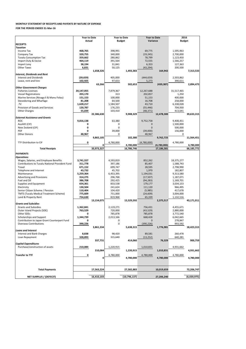| Purchase/construction of assets | 210,084    | 1,220,915      | 1,010,831  | 4,931,662   |
|---------------------------------|------------|----------------|------------|-------------|
|                                 | 210,084    | 1,220,915      | 1,010,831  | 4,931,662   |
| <b>Transfer to TTF</b>          |            | 4,780,000      | 4,780,000  | 4,780,000   |
|                                 |            | 4,780,000      | 4,780,000  | 4,780,000   |
|                                 |            |                |            |             |
| <b>Total Payments</b>           | 17,563,224 | 27,582,883     | 10,019,659 | 72,206,747  |
|                                 |            |                |            |             |
| <b>NET SURPLUS / (DEFECIT)</b>  | 16,410,103 | (10, 796, 137) | 27,206,240 | (6,020,975) |

|                                                 | <b>Year to Date</b> |            | <b>Year to Date</b> |            | <b>Year to Date</b> |             | 2016          |            |
|-------------------------------------------------|---------------------|------------|---------------------|------------|---------------------|-------------|---------------|------------|
|                                                 | <b>Actual</b>       |            | <b>Budget</b>       |            | Variance            |             | <b>Budget</b> |            |
| <b>RECEIPTS</b>                                 |                     |            |                     |            |                     |             |               |            |
| <b>Taxation</b>                                 |                     |            |                     |            |                     |             |               |            |
| <b>Income Tax</b>                               | 468,765             |            | 398,991             |            | 69,775              |             | 1,595,963     |            |
| Company Tax                                     | 320,755             |            | 340,000             |            | (19, 245)           |             | 2,700,000     |            |
| <b>Tuvalu Consumption Tax</b>                   | 359,662             |            | 280,862             |            | 78,799              |             | 1,123,450     |            |
| Import Duty & Excise                            | 464,119             |            | 391,564             |            | 72,555              |             | 1,566,257     |            |
| Import Levy                                     | 38,194              |            | 31,841              |            | 6,353               |             | 127,363       |            |
| <b>Other Taxes</b>                              | 6,831               |            | 50,125              |            | (43, 294)           |             | 200,500       |            |
|                                                 |                     | 1,658,326  |                     | 1,493,383  |                     | 164,942     |               | 7,313,533  |
| <b>Interest, Dividends and Rent</b>             |                     |            |                     |            |                     |             |               |            |
| <b>Interest and Dividends</b>                   | (39, 659)           |            | 405,000             |            | (444, 659)          |             | 2,503,862     |            |
| Lease, rent and hire                            | 102,925             |            | 97,653              |            | 5,273               |             | 390,611       |            |
|                                                 |                     | 63,266     |                     | 502,653    |                     | (439, 387)  |               | 2,894,473  |
| <b>Other Government Charges</b>                 |                     |            |                     |            |                     |             |               |            |
| <b>Fisheries Licenses</b>                       | 20,147,055          |            | 7,879,367           |            | 12,267,688          |             | 31,517,465    |            |
| <b>Vessel Registrations</b>                     | 203,170             |            | 313                 |            | 202,857             |             | 1,250         |            |
| Marine Services (Nivaga II & Manu Folau)        | 151,153             |            | 100,000             |            | 51,153              |             | 400,000       |            |
| Stevedoring and Wharfage                        | 81,208              |            | 64,500              |            | 16,708              |             | 258,000       |            |
| .TV                                             | 1,628,217           |            | 1,584,507           |            | 43,710              |             | 6,338,028     |            |
| Provision of Goods and Services                 | 120,787             |            | 176,233             |            | (55, 446)           |             | 704,930       |            |
| <b>Other Charges</b>                            | 55,039              |            | 103,410             |            | (48, 371)           |             | 413,641       |            |
|                                                 |                     | 22,386,630 |                     | 9,908,329  |                     | 12,478,300  |               | 39,633,315 |
| <b>External Assistance and Grants</b>           |                     |            |                     |            |                     |             |               |            |
| <b>ROC</b>                                      | 9,816,138           |            | 63,380              |            | 9,752,758           |             | 9,408,451     |            |
| AusAID (CIF)                                    |                     |            | 0                   |            | 0                   |             | 1,500,000     |            |
| New Zealand (CIF)                               |                     |            | 0                   |            | 0                   |             | 500,000       |            |
| <b>PDF</b>                                      | 0                   |            | 39,000              |            | (39,000)            |             | 156,000       |            |
| <b>Other Donors</b>                             | 48,967              |            | 0                   |            | 48,967              |             | 0             |            |
|                                                 |                     | 9,865,105  |                     | 102,380    |                     | 9,762,725   |               | 11,564,451 |
| <b>TTF Distribution to CIF</b>                  | 0                   |            | 4,780,000           |            | (4,780,000)         |             | 4,780,000     |            |
|                                                 |                     |            |                     |            |                     |             |               |            |
|                                                 |                     | 0          |                     | 4,780,000  |                     | (4,780,000) |               | 4,780,000  |
| <b>Total Receipts</b>                           |                     | 33,973,327 |                     | 16,786,746 |                     | 17,186,581  |               | 66,185,772 |
|                                                 |                     |            |                     |            |                     |             |               |            |
| <b>PAYMENTS</b>                                 |                     |            |                     |            |                     |             |               |            |
| <b>Operations</b>                               |                     |            |                     |            |                     |             |               |            |
| Wages, Salaries, and Employee Benefits          | 3,741,557           |            | 4,593,819           |            | 852,262             |             | 18,375,277    |            |
| Contributions to Tuvalu National Provident Fund | 311,778             |            | 397,186             |            | 85,407              |             | 1,588,743     |            |
| Travel                                          | 671,152             |            | 699,747             |            | 28,595              |             | 2,798,990     |            |
| Telephone and Internet                          | 43,732              |            | 45,702              |            | 1,970               |             | 182,807       |            |
| Maintenance                                     | 5,259,364           |            | 6,453,395           |            | 1,194,031           |             | 9,313,580     |            |
| <b>Advertising and Provisions</b>               | 314,275             |            | 296,768             |            | (17, 507)           |             | 1,187,071     |            |
| Fuel and Oil                                    | 386,708             |            | 292,425             |            | (94, 283)           |             | 1,169,701     |            |
| Supplies and Equipment                          | 654,361             |            | 833,538             |            | 179,177             |             | 3,034,153     |            |
| Electricity                                     | 130,504             |            | 241,624             |            | 111,120             |             | 966,495       |            |
| Senior Citizen Scheme / Pension                 | 110,404             |            | 104,420             |            | (5,985)             |             | 417,678       |            |
| <b>TMTS (Tuvalu Medical Treatment Scheme)</b>   | 775,609             |            | 751,000             |            | (24, 609)           |             | 3,004,000     |            |
| Land & Property Rent                            | 754,630             |            | 819,968             |            | 65,339              |             | 1,132,516     |            |
|                                                 |                     | 13,154,075 |                     | 15,529,592 |                     | 2,375,517   |               | 43,171,011 |
| <b>Grants and Subsidies</b>                     |                     |            |                     |            |                     |             |               |            |
| <b>Grants and Subsidies</b>                     | 1,362,841           |            | 2,119,271           |            | 756,431             |             | 4,455,671     |            |
| Outer Island Projects (SDE)                     | 763,529<br>0        |            | 720,000             |            | (43, 529)           |             | 2,880,000     |            |
| Other SDEs                                      |                     |            | 785,878             |            | 785,878             |             | 3,772,540     |            |
| Scholarships and Support                        | 1,344,739<br>0      |            | 2,013,166<br>0      |            | 668,428<br>0        |             | 6,042,665     |            |
| Contribution to Japan Grant Counterpart Fund    |                     |            |                     |            |                     |             | 278,847       |            |
| <b>Overseas Contributions</b>                   | 390,226             |            | 0                   |            | (390, 226)          |             | 993,592       |            |
|                                                 |                     | 3,861,334  |                     | 5,638,315  |                     | 1,776,981   |               | 18,423,315 |
| <b>Loans and Interest</b>                       |                     |            |                     |            |                     |             |               |            |
| Interest and Bank Charges                       | 8,838               |            | 98,420              |            | 89,581              |             | 260,478       |            |
| Loan Repayment                                  | 328,893             |            | 315,640             |            | (13, 252)           |             | 640,281       |            |
| <b>Capital Expenditures</b>                     |                     | 337,731    |                     | 414,060    |                     | 76,329      |               | 900,759    |

## **MONTHLY STATEMENT OF RECEIPTS AND PAYENTS BY NATURE OF EXPENSE**

**FOR THE PERIOD ENDED 31-Mar-16**